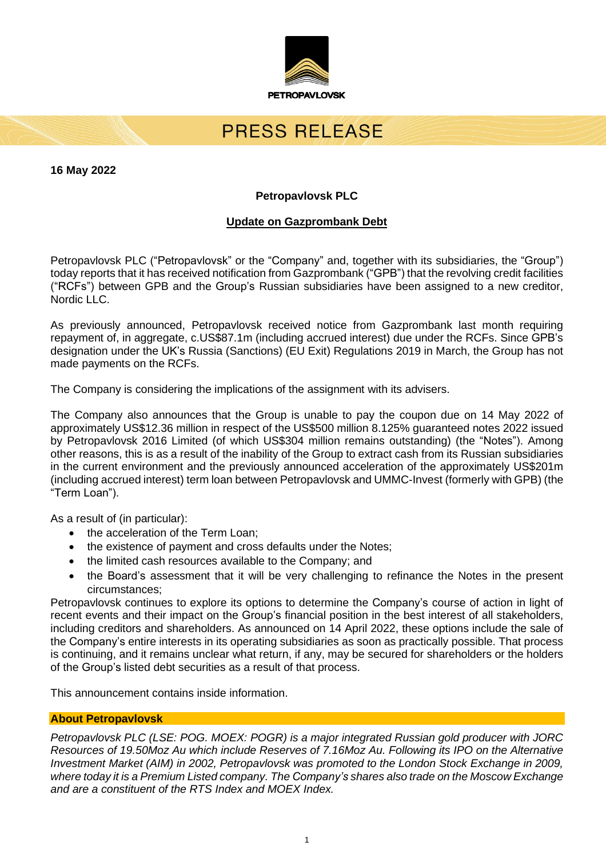

# PRESS RELEASE

**16 May 2022**

## **Petropavlovsk PLC**

### **Update on Gazprombank Debt**

Petropavlovsk PLC ("Petropavlovsk" or the "Company" and, together with its subsidiaries, the "Group") today reports that it has received notification from Gazprombank ("GPB") that the revolving credit facilities ("RCFs") between GPB and the Group's Russian subsidiaries have been assigned to a new creditor, Nordic LLC.

As previously announced, Petropavlovsk received notice from Gazprombank last month requiring repayment of, in aggregate, c.US\$87.1m (including accrued interest) due under the RCFs. Since GPB's designation under the UK's Russia (Sanctions) (EU Exit) Regulations 2019 in March, the Group has not made payments on the RCFs.

The Company is considering the implications of the assignment with its advisers.

The Company also announces that the Group is unable to pay the coupon due on 14 May 2022 of approximately US\$12.36 million in respect of the US\$500 million 8.125% guaranteed notes 2022 issued by Petropavlovsk 2016 Limited (of which US\$304 million remains outstanding) (the "Notes"). Among other reasons, this is as a result of the inability of the Group to extract cash from its Russian subsidiaries in the current environment and the previously announced acceleration of the approximately US\$201m (including accrued interest) term loan between Petropavlovsk and UMMC-Invest (formerly with GPB) (the "Term Loan").

As a result of (in particular):

- the acceleration of the Term Loan:
- the existence of payment and cross defaults under the Notes;
- the limited cash resources available to the Company; and
- the Board's assessment that it will be very challenging to refinance the Notes in the present circumstances;

Petropavlovsk continues to explore its options to determine the Company's course of action in light of recent events and their impact on the Group's financial position in the best interest of all stakeholders, including creditors and shareholders. As announced on 14 April 2022, these options include the sale of the Company's entire interests in its operating subsidiaries as soon as practically possible. That process is continuing, and it remains unclear what return, if any, may be secured for shareholders or the holders of the Group's listed debt securities as a result of that process.

This announcement contains inside information.

#### **About Petropavlovsk**

*Petropavlovsk PLC (LSE: POG. MOEX: POGR) is a major integrated Russian gold producer with JORC Resources of 19.50Moz Au which include Reserves of 7.16Moz Au. Following its IPO on the Alternative Investment Market (AIM) in 2002, Petropavlovsk was promoted to the London Stock Exchange in 2009, where today it is a Premium Listed company. The Company's shares also trade on the Moscow Exchange and are a constituent of the RTS Index and MOEX Index.*